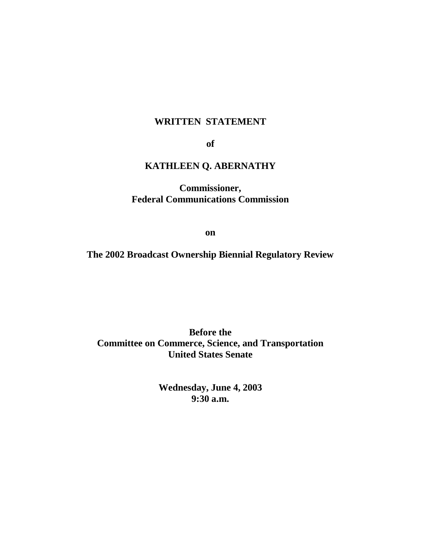## **WRITTEN STATEMENT**

**of**

# **KATHLEEN Q. ABERNATHY**

**Commissioner, Federal Communications Commission**

**on**

### **The 2002 Broadcast Ownership Biennial Regulatory Review**

**Before the Committee on Commerce, Science, and Transportation United States Senate**

> **Wednesday, June 4, 2003 9:30 a.m.**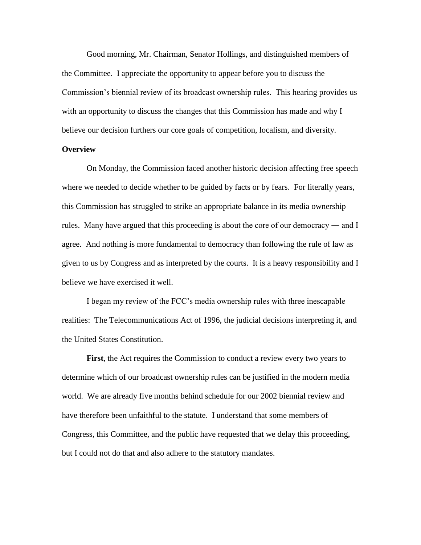Good morning, Mr. Chairman, Senator Hollings, and distinguished members of the Committee. I appreciate the opportunity to appear before you to discuss the Commission's biennial review of its broadcast ownership rules. This hearing provides us with an opportunity to discuss the changes that this Commission has made and why I believe our decision furthers our core goals of competition, localism, and diversity.

#### **Overview**

On Monday, the Commission faced another historic decision affecting free speech where we needed to decide whether to be guided by facts or by fears. For literally years, this Commission has struggled to strike an appropriate balance in its media ownership rules. Many have argued that this proceeding is about the core of our democracy ― and I agree. And nothing is more fundamental to democracy than following the rule of law as given to us by Congress and as interpreted by the courts. It is a heavy responsibility and I believe we have exercised it well.

I began my review of the FCC's media ownership rules with three inescapable realities: The Telecommunications Act of 1996, the judicial decisions interpreting it, and the United States Constitution.

**First**, the Act requires the Commission to conduct a review every two years to determine which of our broadcast ownership rules can be justified in the modern media world. We are already five months behind schedule for our 2002 biennial review and have therefore been unfaithful to the statute. I understand that some members of Congress, this Committee, and the public have requested that we delay this proceeding, but I could not do that and also adhere to the statutory mandates.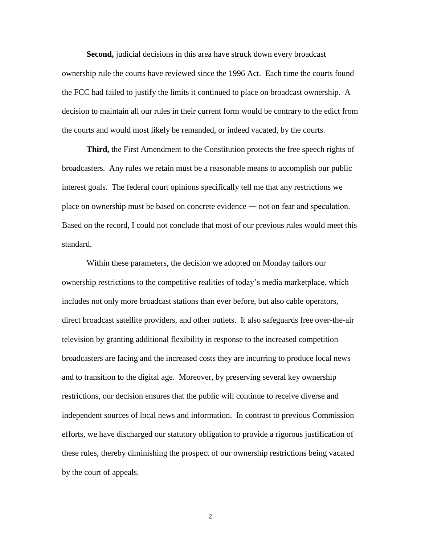**Second,** judicial decisions in this area have struck down every broadcast ownership rule the courts have reviewed since the 1996 Act. Each time the courts found the FCC had failed to justify the limits it continued to place on broadcast ownership. A decision to maintain all our rules in their current form would be contrary to the edict from the courts and would most likely be remanded, or indeed vacated, by the courts.

**Third,** the First Amendment to the Constitution protects the free speech rights of broadcasters. Any rules we retain must be a reasonable means to accomplish our public interest goals. The federal court opinions specifically tell me that any restrictions we place on ownership must be based on concrete evidence ― not on fear and speculation. Based on the record, I could not conclude that most of our previous rules would meet this standard.

Within these parameters, the decision we adopted on Monday tailors our ownership restrictions to the competitive realities of today's media marketplace, which includes not only more broadcast stations than ever before, but also cable operators, direct broadcast satellite providers, and other outlets. It also safeguards free over-the-air television by granting additional flexibility in response to the increased competition broadcasters are facing and the increased costs they are incurring to produce local news and to transition to the digital age. Moreover, by preserving several key ownership restrictions, our decision ensures that the public will continue to receive diverse and independent sources of local news and information. In contrast to previous Commission efforts, we have discharged our statutory obligation to provide a rigorous justification of these rules, thereby diminishing the prospect of our ownership restrictions being vacated by the court of appeals.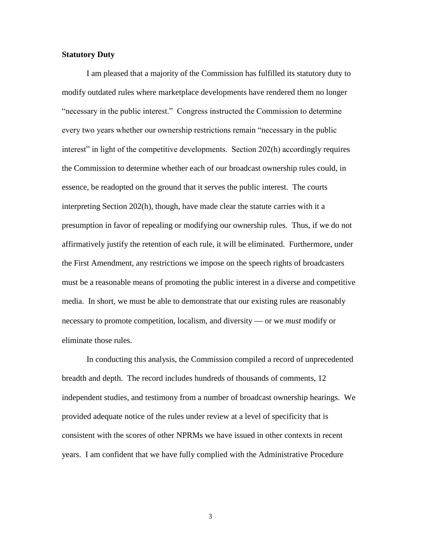### **Statutory Duty**

I am pleased that a majority of the Commission has fulfilled its statutory duty to modify outdated rules where marketplace developments have rendered them no longer "necessary in the public interest." Congress instructed the Commission to determine every two years whether our ownership restrictions remain "necessary in the public interest" in light of the competitive developments. Section 202(h) accordingly requires the Commission to determine whether each of our broadcast ownership rules could, in essence, be readopted on the ground that it serves the public interest. The courts interpreting Section 202(h), though, have made clear the statute carries with it a presumption in favor of repealing or modifying our ownership rules. Thus, if we do not affirmatively justify the retention of each rule, it will be eliminated. Furthermore, under the First Amendment, any restrictions we impose on the speech rights of broadcasters must be a reasonable means of promoting the public interest in a diverse and competitive media. In short, we must be able to demonstrate that our existing rules are reasonably necessary to promote competition, localism, and diversity — or we *must* modify or eliminate those rules.

In conducting this analysis, the Commission compiled a record of unprecedented breadth and depth. The record includes hundreds of thousands of comments, 12 independent studies, and testimony from a number of broadcast ownership hearings. We provided adequate notice of the rules under review at a level of specificity that is consistent with the scores of other NPRMs we have issued in other contexts in recent years. I am confident that we have fully complied with the Administrative Procedure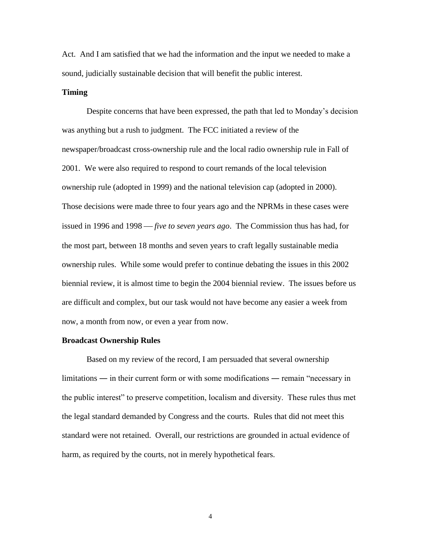Act. And I am satisfied that we had the information and the input we needed to make a sound, judicially sustainable decision that will benefit the public interest.

#### **Timing**

Despite concerns that have been expressed, the path that led to Monday's decision was anything but a rush to judgment. The FCC initiated a review of the newspaper/broadcast cross-ownership rule and the local radio ownership rule in Fall of 2001. We were also required to respond to court remands of the local television ownership rule (adopted in 1999) and the national television cap (adopted in 2000). Those decisions were made three to four years ago and the NPRMs in these cases were issued in 1996 and 1998 *— five to seven years ago*. The Commission thus has had, for the most part, between 18 months and seven years to craft legally sustainable media ownership rules. While some would prefer to continue debating the issues in this 2002 biennial review, it is almost time to begin the 2004 biennial review. The issues before us are difficult and complex, but our task would not have become any easier a week from now, a month from now, or even a year from now.

#### **Broadcast Ownership Rules**

Based on my review of the record, I am persuaded that several ownership limitations ― in their current form or with some modifications ― remain "necessary in the public interest" to preserve competition, localism and diversity. These rules thus met the legal standard demanded by Congress and the courts. Rules that did not meet this standard were not retained. Overall, our restrictions are grounded in actual evidence of harm, as required by the courts, not in merely hypothetical fears.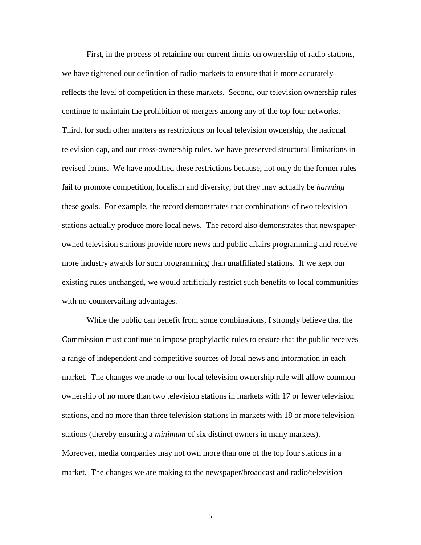First, in the process of retaining our current limits on ownership of radio stations, we have tightened our definition of radio markets to ensure that it more accurately reflects the level of competition in these markets. Second, our television ownership rules continue to maintain the prohibition of mergers among any of the top four networks. Third, for such other matters as restrictions on local television ownership, the national television cap, and our cross-ownership rules, we have preserved structural limitations in revised forms. We have modified these restrictions because, not only do the former rules fail to promote competition, localism and diversity, but they may actually be *harming* these goals. For example, the record demonstrates that combinations of two television stations actually produce more local news. The record also demonstrates that newspaperowned television stations provide more news and public affairs programming and receive more industry awards for such programming than unaffiliated stations. If we kept our existing rules unchanged, we would artificially restrict such benefits to local communities with no countervailing advantages.

While the public can benefit from some combinations, I strongly believe that the Commission must continue to impose prophylactic rules to ensure that the public receives a range of independent and competitive sources of local news and information in each market. The changes we made to our local television ownership rule will allow common ownership of no more than two television stations in markets with 17 or fewer television stations, and no more than three television stations in markets with 18 or more television stations (thereby ensuring a *minimum* of six distinct owners in many markets). Moreover, media companies may not own more than one of the top four stations in a market. The changes we are making to the newspaper/broadcast and radio/television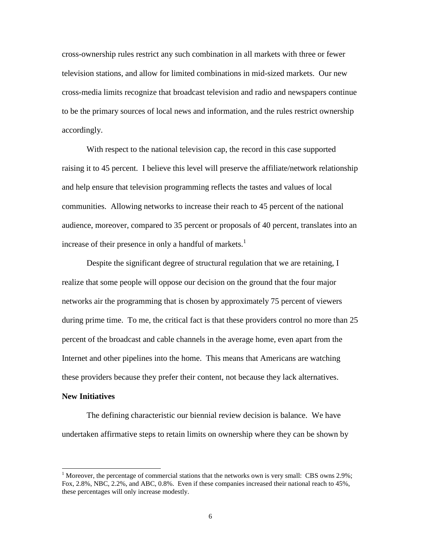cross-ownership rules restrict any such combination in all markets with three or fewer television stations, and allow for limited combinations in mid-sized markets. Our new cross-media limits recognize that broadcast television and radio and newspapers continue to be the primary sources of local news and information, and the rules restrict ownership accordingly.

With respect to the national television cap, the record in this case supported raising it to 45 percent. I believe this level will preserve the affiliate/network relationship and help ensure that television programming reflects the tastes and values of local communities. Allowing networks to increase their reach to 45 percent of the national audience, moreover, compared to 35 percent or proposals of 40 percent, translates into an increase of their presence in only a handful of markets.<sup>1</sup>

Despite the significant degree of structural regulation that we are retaining, I realize that some people will oppose our decision on the ground that the four major networks air the programming that is chosen by approximately 75 percent of viewers during prime time. To me, the critical fact is that these providers control no more than 25 percent of the broadcast and cable channels in the average home, even apart from the Internet and other pipelines into the home. This means that Americans are watching these providers because they prefer their content, not because they lack alternatives.

#### **New Initiatives**

l

The defining characteristic our biennial review decision is balance. We have undertaken affirmative steps to retain limits on ownership where they can be shown by

<sup>&</sup>lt;sup>1</sup> Moreover, the percentage of commercial stations that the networks own is very small: CBS owns 2.9%; Fox, 2.8%, NBC, 2.2%, and ABC, 0.8%. Even if these companies increased their national reach to 45%, these percentages will only increase modestly.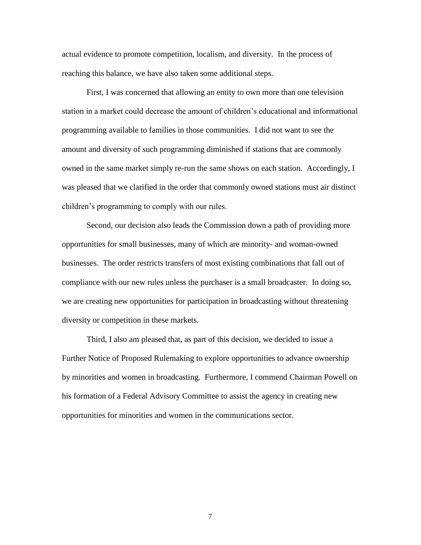actual evidence to promote competition, localism, and diversity. In the process of reaching this balance, we have also taken some additional steps.

First, I was concerned that allowing an entity to own more than one television station in a market could decrease the amount of children's educational and informational programming available to families in those communities. I did not want to see the amount and diversity of such programming diminished if stations that are commonly owned in the same market simply re-run the same shows on each station. Accordingly, I was pleased that we clarified in the order that commonly owned stations must air distinct children's programming to comply with our rules.

Second, our decision also leads the Commission down a path of providing more opportunities for small businesses, many of which are minority- and woman-owned businesses. The order restricts transfers of most existing combinations that fall out of compliance with our new rules unless the purchaser is a small broadcaster. In doing so, we are creating new opportunities for participation in broadcasting without threatening diversity or competition in these markets.

Third, I also am pleased that, as part of this decision, we decided to issue a Further Notice of Proposed Rulemaking to explore opportunities to advance ownership by minorities and women in broadcasting. Furthermore, I commend Chairman Powell on his formation of a Federal Advisory Committee to assist the agency in creating new opportunities for minorities and women in the communications sector.